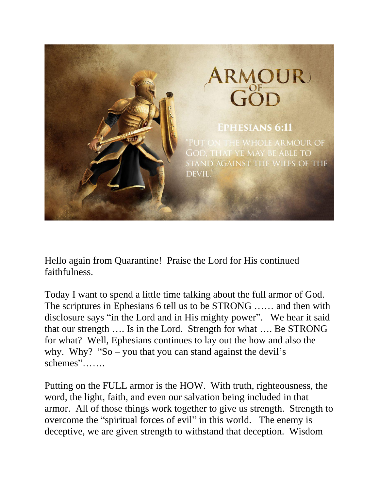

Hello again from Quarantine! Praise the Lord for His continued faithfulness.

Today I want to spend a little time talking about the full armor of God. The scriptures in Ephesians 6 tell us to be STRONG …… and then with disclosure says "in the Lord and in His mighty power". We hear it said that our strength …. Is in the Lord. Strength for what …. Be STRONG for what? Well, Ephesians continues to lay out the how and also the why. Why? "So – you that you can stand against the devil's schemes"…….

Putting on the FULL armor is the HOW. With truth, righteousness, the word, the light, faith, and even our salvation being included in that armor. All of those things work together to give us strength. Strength to overcome the "spiritual forces of evil" in this world. The enemy is deceptive, we are given strength to withstand that deception. Wisdom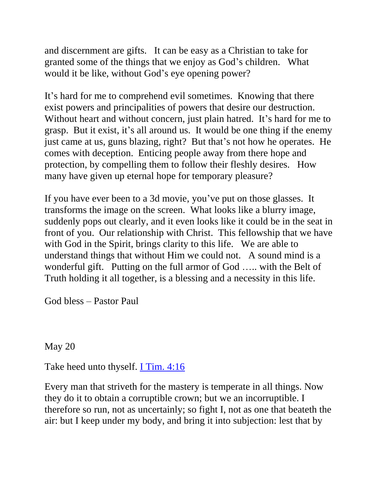and discernment are gifts. It can be easy as a Christian to take for granted some of the things that we enjoy as God's children. What would it be like, without God's eye opening power?

It's hard for me to comprehend evil sometimes. Knowing that there exist powers and principalities of powers that desire our destruction. Without heart and without concern, just plain hatred. It's hard for me to grasp. But it exist, it's all around us. It would be one thing if the enemy just came at us, guns blazing, right? But that's not how he operates. He comes with deception. Enticing people away from there hope and protection, by compelling them to follow their fleshly desires. How many have given up eternal hope for temporary pleasure?

If you have ever been to a 3d movie, you've put on those glasses. It transforms the image on the screen. What looks like a blurry image, suddenly pops out clearly, and it even looks like it could be in the seat in front of you. Our relationship with Christ. This fellowship that we have with God in the Spirit, brings clarity to this life. We are able to understand things that without Him we could not. A sound mind is a wonderful gift. Putting on the full armor of God ….. with the Belt of Truth holding it all together, is a blessing and a necessity in this life.

God bless – Pastor Paul

May 20

Take heed unto thyself. [I Tim. 4:16](https://biblia.com/bible/nkjv/1%20Tim.%204.16)

Every man that striveth for the mastery is temperate in all things. Now they do it to obtain a corruptible crown; but we an incorruptible. I therefore so run, not as uncertainly; so fight I, not as one that beateth the air: but I keep under my body, and bring it into subjection: lest that by